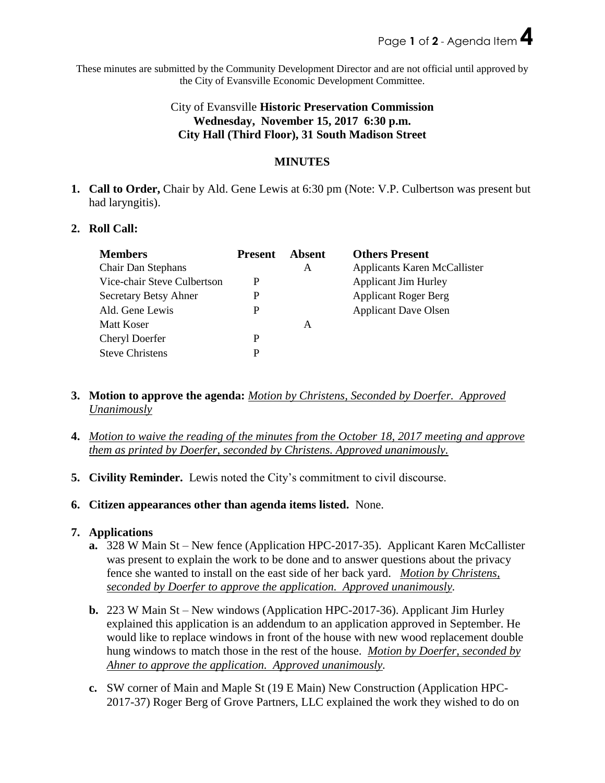These minutes are submitted by the Community Development Director and are not official until approved by the City of Evansville Economic Development Committee.

# City of Evansville **Historic Preservation Commission Wednesday, November 15, 2017 6:30 p.m. City Hall (Third Floor), 31 South Madison Street**

## **MINUTES**

**1. Call to Order,** Chair by Ald. Gene Lewis at 6:30 pm (Note: V.P. Culbertson was present but had laryngitis).

## **2. Roll Call:**

| <b>Members</b>              | <b>Present</b> | Absent | <b>Others Present</b>        |
|-----------------------------|----------------|--------|------------------------------|
| Chair Dan Stephans          |                | A      | Applicants Karen McCallister |
| Vice-chair Steve Culbertson | P              |        | <b>Applicant Jim Hurley</b>  |
| Secretary Betsy Ahner       | P              |        | <b>Applicant Roger Berg</b>  |
| Ald. Gene Lewis             | P              |        | <b>Applicant Dave Olsen</b>  |
| Matt Koser                  |                | A      |                              |
| <b>Cheryl Doerfer</b>       | P              |        |                              |
| <b>Steve Christens</b>      | P              |        |                              |

- **3. Motion to approve the agenda:** *Motion by Christens, Seconded by Doerfer. Approved Unanimously*
- **4.** *Motion to waive the reading of the minutes from the October 18, 2017 meeting and approve them as printed by Doerfer, seconded by Christens. Approved unanimously.*
- **5. Civility Reminder.** Lewis noted the City's commitment to civil discourse.
- **6. Citizen appearances other than agenda items listed.** None.

# **7. Applications**

- **a.** 328 W Main St New fence (Application HPC-2017-35). Applicant Karen McCallister was present to explain the work to be done and to answer questions about the privacy fence she wanted to install on the east side of her back yard. *Motion by Christens, seconded by Doerfer to approve the application. Approved unanimously.*
- **b.** 223 W Main St New windows (Application HPC-2017-36). Applicant Jim Hurley explained this application is an addendum to an application approved in September. He would like to replace windows in front of the house with new wood replacement double hung windows to match those in the rest of the house. *Motion by Doerfer, seconded by Ahner to approve the application. Approved unanimously.*
- **c.** SW corner of Main and Maple St (19 E Main) New Construction (Application HPC-2017-37) Roger Berg of Grove Partners, LLC explained the work they wished to do on